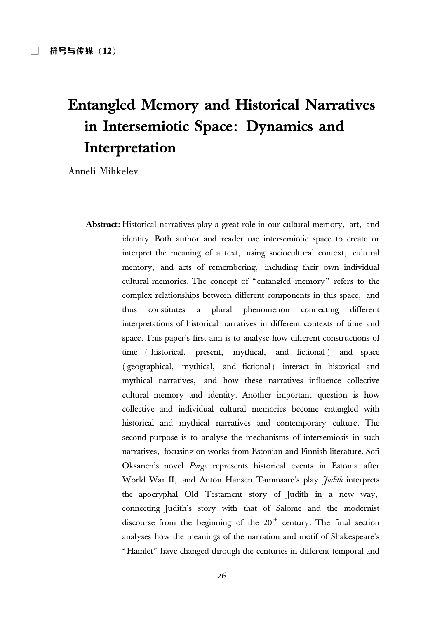# **Entangled Memory and Historical Narratives** in Intersemiotic Space: Dynamics and Interpretation

Anneli Mihkelev

**Abstract:** Historical narratives play a great role in our cultural memory, art, and identity. Both author and reader use intersemiotic space to create or interpret the meaning of a text, using sociocultural context, cultural memory, and acts of remembering, including their own individual cultural memories. The concept of "entangled memory" refers to the complex relationships between different components in this space, and thus constitutes a plural phenomenon connecting different interpretations of historical narratives in different contexts of time and space. This paper's first aim is to analyse how different constructions of time (historical, present, mythical, and fictional) and space (geographical, mythical, and fictional) interact in historical and mythical narratives, and how these narratives influence collective cultural memory and identity. Another important question is how collective and individual cultural memories become entangled with historical and mythical narratives and contemporary culture. The second purpose is to analyse the mechanisms of intersemiosis in such narratives, focusing on works from Estonian and Finnish literature. Sofi Oksanen's novel Purge represents historical events in Estonia after World War II, and Anton Hansen Tammsare's play *Judith* interprets the apocryphal Old Testament story of Judith in a new way, connecting Judith's story with that of Salome and the modernist discourse from the beginning of the  $20<sup>th</sup>$  century. The final section analyses how the meanings of the narration and motif of Shakespeare's "Hamlet" have changed through the centuries in different temporal and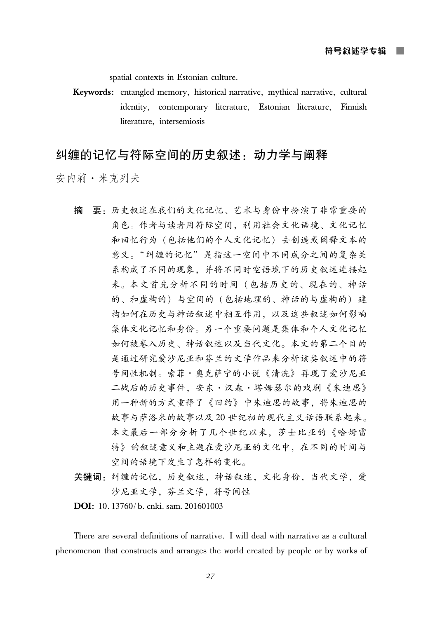spatial contexts in Estonian culture.

Keywords: entangled memory, historical narrative, mythical narrative, cultural identity, contemporary literature, Estonian literature, Finnish literature, intersemiosis

# 纠缠的记忆与符际空间的历史叙述: 动力学与阐释

安内莉·米克列夫

- 要: 历史叙述在我们的文化记忆、艺术与身份中扮演了非常重要的 摘 角色。作者与读者用符际空间,利用社会文化语境、文化记忆 和回忆行为(包括他们的个人文化记忆)去创造或阐释文本的 意义。"纠缠的记忆"是指这一空间中不同成分之间的复杂关 系构成了不同的现象。并将不同时空语境下的历史叙述连接起 来。本文首先分析不同的时间(包括历史的、现在的、神话 的、和虚构的)与空间的(包括地理的、神话的与虚构的)建 构如何在历史与神话叙述中相互作用,以及这些叙述如何影响 集体文化记忆和身份。另一个重要问题是集体和个人文化记忆 如何被卷入历史、神话叙述以及当代文化。本文的第二个目的 是通过研究爱沙尼亚和芬兰的文学作品来分析该类叙述中的符 号间性机制。索菲·奥克萨宁的小说《清洗》再现了爱沙尼亚 二战后的历史事件, 安东·汉森·塔姆瑟尔的戏剧《朱迪思》 用一种新的方式重释了《旧约》中朱迪思的故事, 将朱迪思的 故事与萨洛米的故事以及20世纪初的现代主义话语联系起来。 本文最后一部分分析了几个世纪以来, 莎士比亚的《哈姆雷 特》的叙述意义和主题在爱沙尼亚的文化中,在不同的时间与 空间的语境下发生了怎样的变化。
- 关键词:纠缠的记忆,历史叙述,神话叙述,文化身份,当代文学,爱 沙尼亚文学,芬兰文学,符号间性

**DOI**: 10.13760/b. cnki. sam. 201601003

There are several definitions of narrative. I will deal with narrative as a cultural phenomenon that constructs and arranges the world created by people or by works of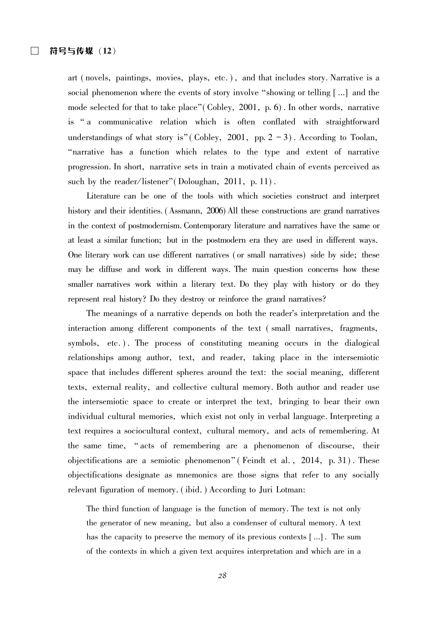art (novels, paintings, movies, plays, etc.), and that includes story. Narrative is a social phenomenon where the events of story involve "showing or telling [...] and the mode selected for that to take place" (Cobley, 2001, p.  $6$ ). In other words, narrative is "a communicative relation which is often conflated with straightforward understandings of what story is" (Cobley, 2001, pp.  $2 - 3$ ). According to Toolan, "narrative has a function which relates to the type and extent of narrative progression. In short, narrative sets in train a motivated chain of events perceived as such by the reader/listener" (Doloughan, 2011, p. 11).

Literature can be one of the tools with which societies construct and interpret history and their identities. (Assmann, 2006) All these constructions are grand narratives in the context of postmodernism. Contemporary literature and narratives have the same or at least a similar function; but in the postmodern era they are used in different ways. One literary work can use different narratives (or small narratives) side by side; these may be diffuse and work in different ways. The main question concerns how these smaller narratives work within a literary text. Do they play with history or do they represent real history? Do they destroy or reinforce the grand narratives?

The meanings of a narrative depends on both the reader's interpretation and the interaction among different components of the text (small narratives, fragments, symbols, etc.). The process of constituting meaning occurs in the dialogical relationships among author, text, and reader, taking place in the intersemiotic space that includes different spheres around the text: the social meaning, different texts, external reality, and collective cultural memory. Both author and reader use the intersemiotic space to create or interpret the text, bringing to bear their own individual cultural memories, which exist not only in verbal language. Interpreting a text requires a sociocultural context, cultural memory, and acts of remembering. At the same time, "acts of remembering are a phenomenon of discourse, their objectifications are a semiotic phenomenon" (Feindt et al., 2014, p. 31). These objectifications designate as mnemonics are those signs that refer to any socially relevant figuration of memory. (ibid.) According to Juri Lotman:

The third function of language is the function of memory. The text is not only the generator of new meaning, but also a condenser of cultural memory. A text has the capacity to preserve the memory of its previous contexts [...]. The sum of the contexts in which a given text acquires interpretation and which are in a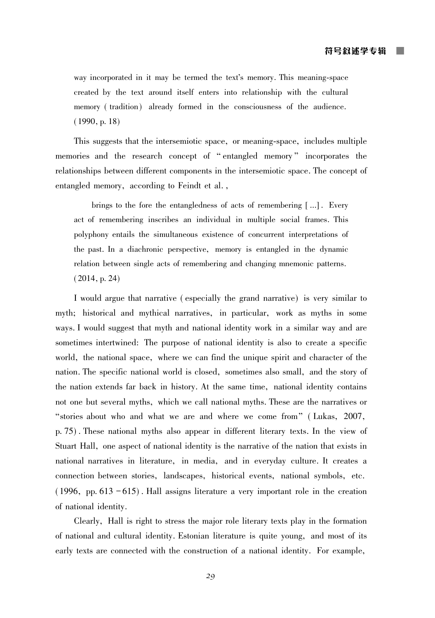way incorporated in it may be termed the text's memory. This meaning-space created by the text around itself enters into relationship with the cultural memory (tradition) already formed in the consciousness of the audience.  $(1990, p. 18)$ 

This suggests that the intersemiotic space, or meaning-space, includes multiple memories and the research concept of "entangled memory" incorporates the relationships between different components in the intersemiotic space. The concept of entangled memory, according to Feindt et al.,

brings to the fore the entangledness of acts of remembering  $[\,\dots]$ . Every act of remembering inscribes an individual in multiple social frames. This polyphony entails the simultaneous existence of concurrent interpretations of the past. In a diachronic perspective, memory is entangled in the dynamic relation between single acts of remembering and changing mnemonic patterns.  $(2014, p. 24)$ 

I would argue that narrative (especially the grand narrative) is very similar to myth; historical and mythical narratives, in particular, work as myths in some ways. I would suggest that myth and national identity work in a similar way and are sometimes intertwined: The purpose of national identity is also to create a specific world, the national space, where we can find the unique spirit and character of the nation. The specific national world is closed, sometimes also small, and the story of the nation extends far back in history. At the same time, national identity contains not one but several myths, which we call national myths. These are the narratives or "stories about who and what we are and where we come from" (Lukas, 2007, p. 75). These national myths also appear in different literary texts. In the view of Stuart Hall, one aspect of national identity is the narrative of the nation that exists in national narratives in literature, in media, and in everyday culture. It creates a connection between stories, landscapes, historical events, national symbols, etc.  $(1996, pp. 613 - 615)$ . Hall assigns literature a very important role in the creation of national identity.

Clearly, Hall is right to stress the major role literary texts play in the formation of national and cultural identity. Estonian literature is quite young, and most of its early texts are connected with the construction of a national identity. For example,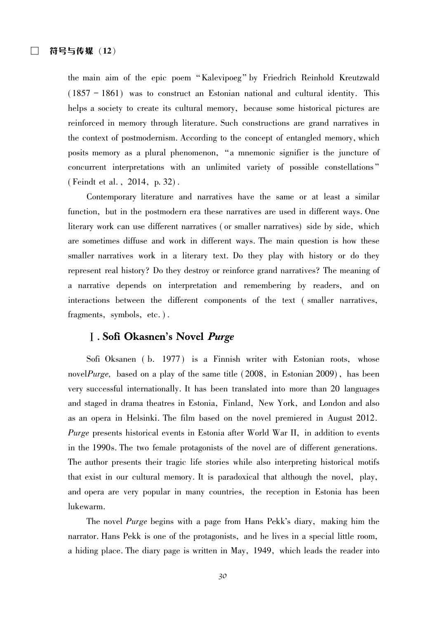the main aim of the epic poem "Kalevipoeg" by Friedrich Reinhold Kreutzwald  $(1857 - 1861)$  was to construct an Estonian national and cultural identity. This helps a society to create its cultural memory, because some historical pictures are reinforced in memory through literature. Such constructions are grand narratives in the context of postmodernism. According to the concept of entangled memory, which posits memory as a plural phenomenon, "a mnemonic signifier is the juncture of concurrent interpretations with an unlimited variety of possible constellations" (Feindt et al., 2014, p. 32).

Contemporary literature and narratives have the same or at least a similar function, but in the postmodern era these narratives are used in different ways. One literary work can use different narratives (or smaller narratives) side by side, which are sometimes diffuse and work in different ways. The main question is how these smaller narratives work in a literary text. Do they play with history or do they represent real history? Do they destroy or reinforce grand narratives? The meaning of a narrative depends on interpretation and remembering by readers, and on interactions between the different components of the text (smaller narratives, fragments, symbols, etc.).

# **J.** Sofi Okasnen's Novel *Purge*

Sofi Oksanen (b. 1977) is a Finnish writer with Estonian roots, whose novel *Purge*, based on a play of the same title (2008, in Estonian 2009), has been very successful internationally. It has been translated into more than 20 languages and staged in drama theatres in Estonia, Finland, New York, and London and also as an opera in Helsinki. The film based on the novel premiered in August 2012. *Purge* presents historical events in Estonia after World War II, in addition to events in the 1990s. The two female protagonists of the novel are of different generations. The author presents their tragic life stories while also interpreting historical motifs that exist in our cultural memory. It is paradoxical that although the novel, play, and opera are very popular in many countries, the reception in Estonia has been lukewarm.

The novel *Purge* begins with a page from Hans Pekk's diary, making him the narrator. Hans Pekk is one of the protagonists, and he lives in a special little room, a hiding place. The diary page is written in May, 1949, which leads the reader into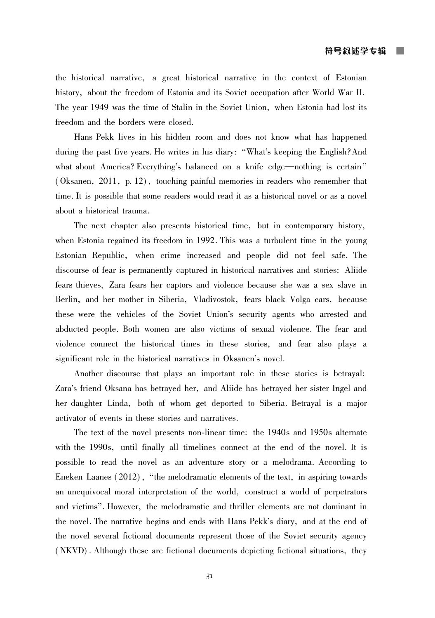the historical narrative, a great historical narrative in the context of Estonian history, about the freedom of Estonia and its Soviet occupation after World War II. The year 1949 was the time of Stalin in the Soviet Union, when Estonia had lost its freedom and the borders were closed.

Hans Pekk lives in his hidden room and does not know what has happened during the past five years. He writes in his diary: "What's keeping the English? And what about America? Everything's balanced on a knife edge—nothing is certain" (Oksanen, 2011, p. 12), touching painful memories in readers who remember that time. It is possible that some readers would read it as a historical novel or as a novel about a historical trauma.

The next chapter also presents historical time, but in contemporary history, when Estonia regained its freedom in 1992. This was a turbulent time in the young Estonian Republic, when crime increased and people did not feel safe. The discourse of fear is permanently captured in historical narratives and stories: Aliide fears thieves. Zara fears her captors and violence because she was a sex slave in Berlin, and her mother in Siberia, Vladivostok, fears black Volga cars, because these were the vehicles of the Soviet Union's security agents who arrested and abducted people. Both women are also victims of sexual violence. The fear and violence connect the historical times in these stories, and fear also plays a significant role in the historical narratives in Oksanen's novel.

Another discourse that plays an important role in these stories is betrayal: Zara's friend Oksana has betrayed her, and Aliide has betrayed her sister Ingel and her daughter Linda, both of whom get deported to Siberia. Betrayal is a major activator of events in these stories and narratives.

The text of the novel presents non-linear time: the 1940s and 1950s alternate with the 1990s, until finally all timelines connect at the end of the novel. It is possible to read the novel as an adventure story or a melodrama. According to Eneken Laanes (2012), "the melodramatic elements of the text, in aspiring towards an unequivocal moral interpretation of the world, construct a world of perpetrators and victims". However, the melodramatic and thriller elements are not dominant in the novel. The narrative begins and ends with Hans Pekk's diary, and at the end of the novel several fictional documents represent those of the Soviet security agency (NKVD). Although these are fictional documents depicting fictional situations, they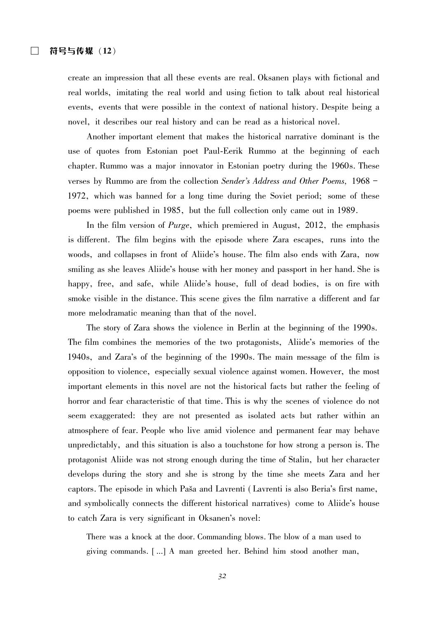create an impression that all these events are real. Oksanen plays with fictional and real worlds, imitating the real world and using fiction to talk about real historical events, events that were possible in the context of national history. Despite being a novel, it describes our real history and can be read as a historical novel.

Another important element that makes the historical narrative dominant is the use of quotes from Estonian poet Paul-Eerik Rummo at the beginning of each chapter. Rummo was a major innovator in Estonian poetry during the 1960s. These verses by Rummo are from the collection Sender's Address and Other Poems, 1968 – 1972, which was banned for a long time during the Soviet period; some of these poems were published in 1985, but the full collection only came out in 1989.

In the film version of *Purge*, which premiered in August, 2012, the emphasis is different. The film begins with the episode where Zara escapes, runs into the woods, and collapses in front of Aliide's house. The film also ends with Zara, now smiling as she leaves Aliide's house with her money and passport in her hand. She is happy, free, and safe, while Aliide's house, full of dead bodies, is on fire with smoke visible in the distance. This scene gives the film narrative a different and far more melodramatic meaning than that of the novel.

The story of Zara shows the violence in Berlin at the beginning of the 1990s. The film combines the memories of the two protagonists, Aliide's memories of the 1940s, and Zara's of the beginning of the 1990s. The main message of the film is opposition to violence, especially sexual violence against women. However, the most important elements in this novel are not the historical facts but rather the feeling of horror and fear characteristic of that time. This is why the scenes of violence do not seem exaggerated: they are not presented as isolated acts but rather within an atmosphere of fear. People who live amid violence and permanent fear may behave unpredictably, and this situation is also a touchstone for how strong a person is. The protagonist Aliide was not strong enough during the time of Stalin, but her character develops during the story and she is strong by the time she meets Zara and her captors. The episode in which Paša and Lavrenti (Lavrenti is also Beria's first name, and symbolically connects the different historical narratives) come to Aliide's house to catch Zara is very significant in Oksanen's novel:

There was a knock at the door. Commanding blows. The blow of a man used to giving commands. [...] A man greeted her. Behind him stood another man,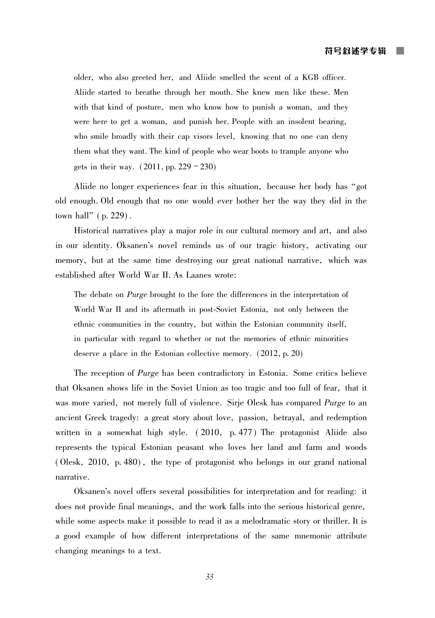older, who also greeted her, and Aliide smelled the scent of a KGB officer. Aliide started to breathe through her mouth. She knew men like these. Men with that kind of posture, men who know how to punish a woman, and they were here to get a woman, and punish her. People with an insolent bearing, who smile broadly with their cap visors level, knowing that no one can deny them what they want. The kind of people who wear boots to trample anyone who gets in their way.  $(2011, pp. 229 - 230)$ 

Aliide no longer experiences fear in this situation, because her body has "got old enough. Old enough that no one would ever bother her the way they did in the town hall"  $(p. 229)$ .

Historical narratives play a major role in our cultural memory and art, and also in our identity. Oksanen's novel reminds us of our tragic history, activating our memory, but at the same time destroying our great national narrative, which was established after World War II. As Laanes wrote:

The debate on *Purge* brought to the fore the differences in the interpretation of World War II and its aftermath in post-Soviet Estonia, not only between the ethnic communities in the country, but within the Estonian community itself, in particular with regard to whether or not the memories of ethnic minorities deserve a place in the Estonian collective memory.  $(2012, p. 20)$ 

The reception of *Purge* has been contradictory in Estonia. Some critics believe that Oksanen shows life in the Soviet Union as too tragic and too full of fear, that it was more varied, not merely full of violence. Sirje Olesk has compared Purge to an ancient Greek tragedy: a great story about love, passion, betrayal, and redemption written in a somewhat high style. (2010, p. 477) The protagonist Aliide also represents the typical Estonian peasant who loves her land and farm and woods (Olesk, 2010, p. 480), the type of protagonist who belongs in our grand national narrative.

Oksanen's novel offers several possibilities for interpretation and for reading: it does not provide final meanings, and the work falls into the serious historical genre, while some aspects make it possible to read it as a melodramatic story or thriller. It is a good example of how different interpretations of the same mnemonic attribute changing meanings to a text.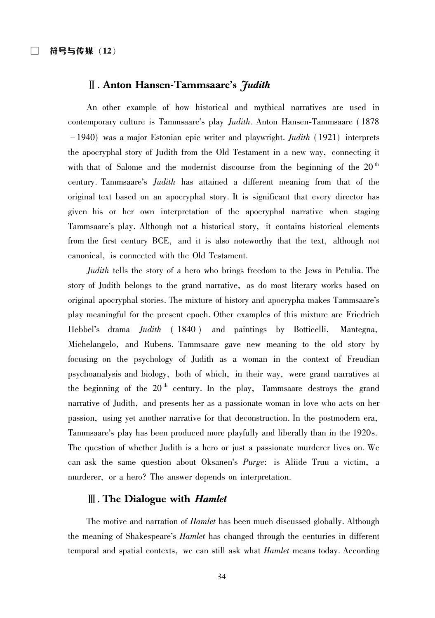### II. Anton Hansen-Tammsaare's *Judith*

An other example of how historical and mythical narratives are used in contemporary culture is Tammsaare's play *Judith*. Anton Hansen-Tammsaare (1878)  $-1940$ ) was a major Estonian epic writer and playwright. *Judith* (1921) interprets the apocryphal story of Judith from the Old Testament in a new way, connecting it with that of Salome and the modernist discourse from the beginning of the  $20<sup>th</sup>$ century. Tammsaare's *Judith* has attained a different meaning from that of the original text based on an apocryphal story. It is significant that every director has given his or her own interpretation of the apocryphal narrative when staging Tammsaare's play. Although not a historical story, it contains historical elements from the first century BCE, and it is also noteworthy that the text, although not canonical, is connected with the Old Testament.

*Judith* tells the story of a hero who brings freedom to the Jews in Petulia. The story of Judith belongs to the grand narrative, as do most literary works based on original apocryphal stories. The mixture of history and apocrypha makes Tammsaare's play meaningful for the present epoch. Other examples of this mixture are Friedrich Hebbel's drama *Judith* (1840) and paintings by Botticelli, Mantegna, Michelangelo, and Rubens. Tammsaare gave new meaning to the old story by focusing on the psychology of Judith as a woman in the context of Freudian psychoanalysis and biology, both of which, in their way, were grand narratives at the beginning of the 20<sup>th</sup> century. In the play, Tammsaare destroys the grand narrative of Judith, and presents her as a passionate woman in love who acts on her passion, using yet another narrative for that deconstruction. In the postmodern era, Tammsaare's play has been produced more playfully and liberally than in the 1920s. The question of whether Judith is a hero or just a passionate murderer lives on. We can ask the same question about Oksanen's Purge: is Aliide Truu a victim, a murderer, or a hero? The answer depends on interpretation.

## $\mathbb{I}$ . The Dialogue with *Hamlet*

The motive and narration of *Hamlet* has been much discussed globally. Although the meaning of Shakespeare's *Hamlet* has changed through the centuries in different temporal and spatial contexts, we can still ask what *Hamlet* means today. According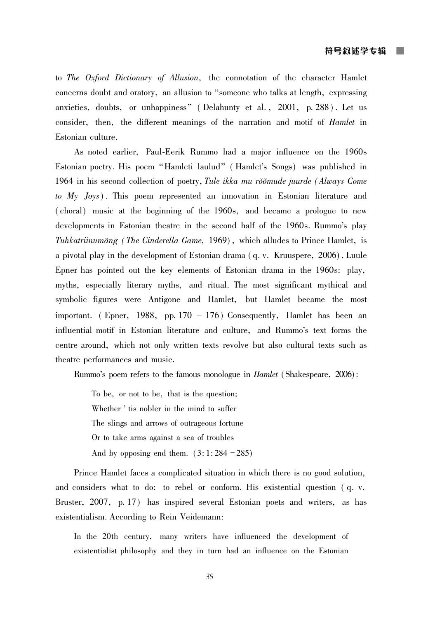to The Oxford Dictionary of Allusion, the connotation of the character Hamlet concerns doubt and oratory, an allusion to "someone who talks at length, expressing anxieties, doubts, or unhappiness" (Delahunty et al., 2001, p. 288). Let us consider, then, the different meanings of the narration and motif of *Hamlet* in Estonian culture.

As noted earlier, Paul-Eerik Rummo had a major influence on the 1960s Estonian poetry. His poem "Hamleti laulud" (Hamlet's Songs) was published in 1964 in his second collection of poetry, Tule ikka mu rõõmude juurde (Always Come to  $My$  Joys). This poem represented an innovation in Estonian literature and (choral) music at the beginning of the 1960s, and became a prologue to new developments in Estonian theatre in the second half of the 1960s. Rummo's play Tuhkatriinumäng (The Cinderella Game, 1969), which alludes to Prince Hamlet, is a pivotal play in the development of Estonian drama (q. v. Kruuspere, 2006). Luule Epner has pointed out the key elements of Estonian drama in the 1960s: play, myths, especially literary myths, and ritual. The most significant mythical and symbolic figures were Antigone and Hamlet, but Hamlet became the most important. (Epner, 1988, pp. 170 – 176) Consequently, Hamlet has been an influential motif in Estonian literature and culture, and Rummo's text forms the centre around, which not only written texts revolve but also cultural texts such as theatre performances and music.

Rummo's poem refers to the famous monologue in *Hamlet* (Shakespeare, 2006):

To be, or not to be, that is the question; Whether ' tis nobler in the mind to suffer The slings and arrows of outrageous fortune Or to take arms against a sea of troubles And by opposing end them.  $(3:1:284-285)$ 

Prince Hamlet faces a complicated situation in which there is no good solution, and considers what to do: to rebel or conform. His existential question (q. v. Bruster, 2007, p. 17) has inspired several Estonian poets and writers, as has existentialism. According to Rein Veidemann:

In the 20th century, many writers have influenced the development of existentialist philosophy and they in turn had an influence on the Estonian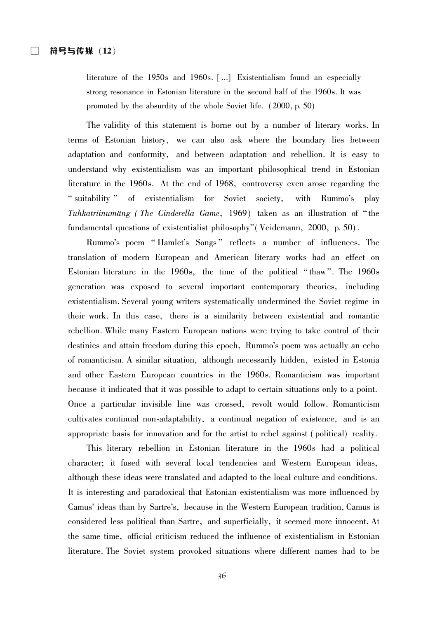literature of the 1950s and 1960s. [...] Existentialism found an especially strong resonance in Estonian literature in the second half of the 1960s. It was promoted by the absurdity of the whole Soviet life. (2000, p. 50)

The validity of this statement is borne out by a number of literary works. In terms of Estonian history, we can also ask where the boundary lies between adaptation and conformity, and between adaptation and rebellion. It is easy to understand why existentialism was an important philosophical trend in Estonian literature in the 1960s. At the end of 1968, controversy even arose regarding the "suitability" of existentialism for Soviet society, with Rummo's play Tuhkatriinumäng (The Cinderella Game, 1969) taken as an illustration of "the fundamental questions of existentialist philosophy" (Veidemann, 2000, p. 50).

Rummo's poem "Hamlet's Songs" reflects a number of influences. The translation of modern European and American literary works had an effect on Estonian literature in the 1960s, the time of the political "thaw". The 1960s generation was exposed to several important contemporary theories, including existentialism. Several young writers systematically undermined the Soviet regime in their work. In this case, there is a similarity between existential and romantic rebellion. While many Eastern European nations were trying to take control of their destinies and attain freedom during this epoch, Rummo's poem was actually an echo of romanticism. A similar situation, although necessarily hidden, existed in Estonia and other Eastern European countries in the 1960s. Romanticism was important because it indicated that it was possible to adapt to certain situations only to a point. Once a particular invisible line was crossed, revolt would follow. Romanticism cultivates continual non-adaptability, a continual negation of existence, and is an appropriate basis for innovation and for the artist to rebel against (political) reality.

This literary rebellion in Estonian literature in the 1960s had a political character; it fused with several local tendencies and Western European ideas, although these ideas were translated and adapted to the local culture and conditions. It is interesting and paradoxical that Estonian existentialism was more influenced by Camus' ideas than by Sartre's, because in the Western European tradition, Camus is considered less political than Sartre, and superficially, it seemed more innocent. At the same time, official criticism reduced the influence of existentialism in Estonian literature. The Soviet system provoked situations where different names had to be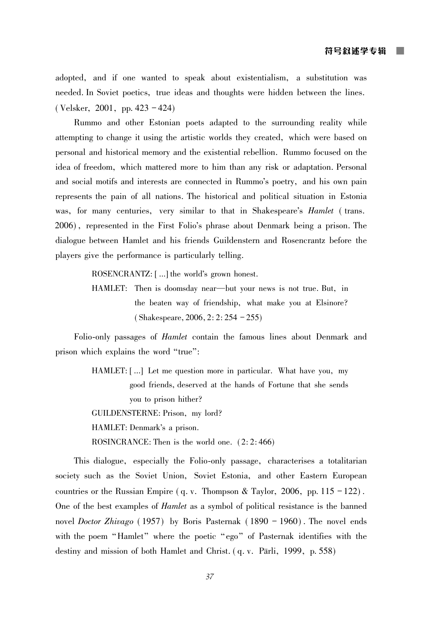adopted, and if one wanted to speak about existentialism, a substitution was needed. In Soviet poetics, true ideas and thoughts were hidden between the lines. (Velsker, 2001, pp. 423 – 424)

Rummo and other Estonian poets adapted to the surrounding reality while attempting to change it using the artistic worlds they created, which were based on personal and historical memory and the existential rebellion. Rummo focused on the idea of freedom, which mattered more to him than any risk or adaptation. Personal and social motifs and interests are connected in Rummo's poetry, and his own pain represents the pain of all nations. The historical and political situation in Estonia was, for many centuries, very similar to that in Shakespeare's *Hamlet* (trans. 2006), represented in the First Folio's phrase about Denmark being a prison. The dialogue between Hamlet and his friends Guildenstern and Rosencrantz before the players give the performance is particularly telling.

ROSENCRANTZ: [...] the world's grown honest.

HAMLET: Then is doomsday near—but your news is not true. But, in the beaten way of friendship, what make you at Elsinore?  $(Shakespeace, 2006, 2: 2: 254 - 255)$ 

Folio-only passages of *Hamlet* contain the famous lines about Denmark and prison which explains the word "true":

> HAMLET: [...] Let me question more in particular. What have you, my good friends, deserved at the hands of Fortune that she sends you to prison hither? GUILDENSTERNE: Prison, my lord? HAMLET: Denmark's a prison. ROSINCRANCE: Then is the world one.  $(2:2:466)$

This dialogue, especially the Folio-only passage, characterises a totalitarian society such as the Soviet Union, Soviet Estonia, and other Eastern European countries or the Russian Empire (q. v. Thompson & Taylor, 2006, pp.  $115 - 122$ ). One of the best examples of *Hamlet* as a symbol of political resistance is the banned novel *Doctor Zhivago* (1957) by Boris Pasternak (1890 – 1960). The novel ends with the poem "Hamlet" where the poetic "ego" of Pasternak identifies with the destiny and mission of both Hamlet and Christ. (q. v. Pärli, 1999, p. 558)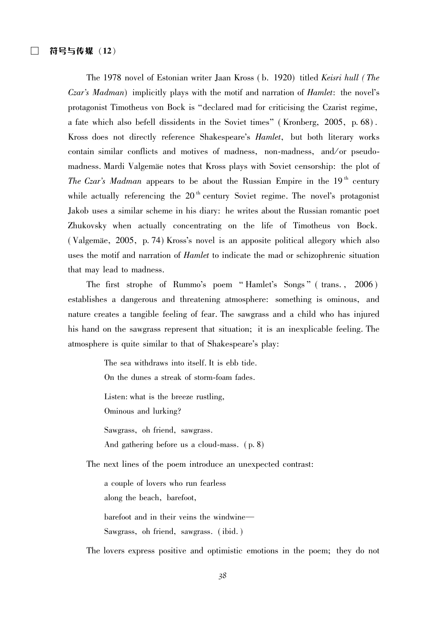The 1978 novel of Estonian writer Jaan Kross (b. 1920) titled Keisri hull (The *Czar's Madman*) implicitly plays with the motif and narration of *Hamlet*: the novel's protagonist Timotheus von Bock is "declared mad for criticising the Czarist regime, a fate which also befell dissidents in the Soviet times" (Kronberg, 2005, p. 68). Kross does not directly reference Shakespeare's *Hamlet*, but both literary works contain similar conflicts and motives of madness, non-madness, and/or pseudomadness. Mardi Valgemäe notes that Kross plays with Soviet censorship: the plot of The Czar's Madman appears to be about the Russian Empire in the 19<sup>th</sup> century while actually referencing the  $20<sup>th</sup>$  century Soviet regime. The novel's protagonist Jakob uses a similar scheme in his diary: he writes about the Russian romantic poet Zhukovsky when actually concentrating on the life of Timotheus von Bock. (Valgemäe, 2005, p. 74) Kross's novel is an apposite political allegory which also uses the motif and narration of *Hamlet* to indicate the mad or schizophrenic situation that may lead to madness.

The first strophe of Rummo's poem "Hamlet's Songs" (trans., 2006) establishes a dangerous and threatening atmosphere: something is ominous, and nature creates a tangible feeling of fear. The sawgrass and a child who has injured his hand on the sawgrass represent that situation; it is an inexplicable feeling. The atmosphere is quite similar to that of Shakespeare's play:

> The sea withdraws into itself. It is ebb tide. On the dunes a streak of storm-foam fades. Listen: what is the breeze rustling, Ominous and lurking? Sawgrass, oh friend, sawgrass. And gathering before us a cloud-mass. (p. 8)

The next lines of the poem introduce an unexpected contrast:

a couple of lovers who run fearless along the beach, barefoot, barefoot and in their veins the windwine-Sawgrass, oh friend, sawgrass. (ibid.)

The lovers express positive and optimistic emotions in the poem; they do not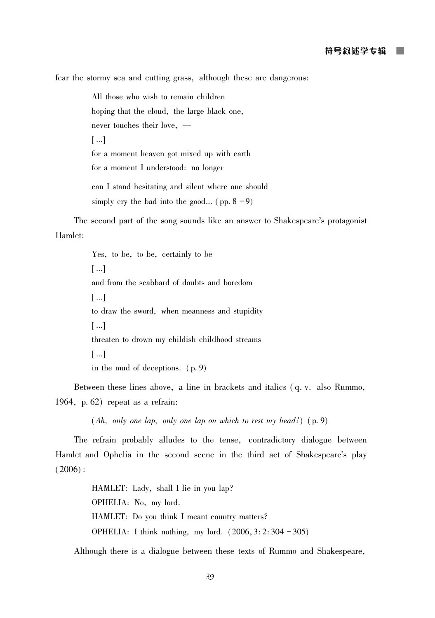fear the stormy sea and cutting grass, although these are dangerous:

All those who wish to remain children hoping that the cloud, the large black one, never touches their love, - $[...]$ for a moment heaven got mixed up with earth for a moment I understood: no longer can I stand hesitating and silent where one should simply cry the bad into the good... (pp.  $8-9$ )

The second part of the song sounds like an answer to Shakespeare's protagonist Hamlet:

> Yes, to be, to be, certainly to be  $\lceil \dots \rceil$ and from the scabbard of doubts and boredom  $\lceil ... \rceil$ to draw the sword, when meanness and stupidity  $[...]$ threaten to drown my childish childhood streams  $\lceil \dots \rceil$ in the mud of deceptions.  $(p, 9)$

Between these lines above, a line in brackets and italics (q. v. also Rummo, 1964, p.  $62$ ) repeat as a refrain:

 $(Ah, only one lap, only one lap, on which to rest my head!)$  (p. 9)

The refrain probably alludes to the tense, contradictory dialogue between Hamlet and Ophelia in the second scene in the third act of Shakespeare's play  $(2006)$ :

> HAMLET: Lady, shall I lie in you lap? OPHELIA: No, my lord. HAMLET: Do you think I meant country matters? OPHELIA: I think nothing, my lord.  $(2006, 3:2:304 - 305)$

Although there is a dialogue between these texts of Rummo and Shakespeare.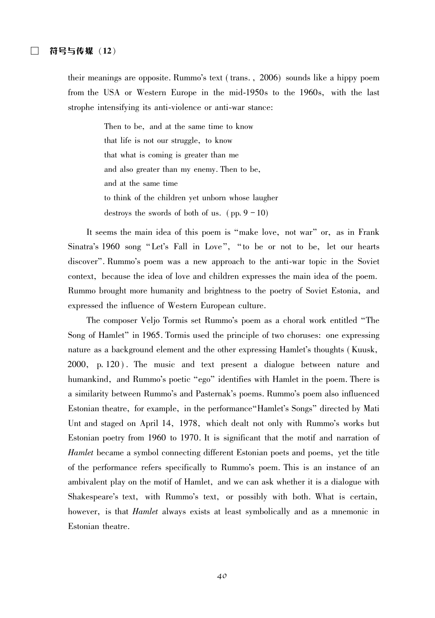their meanings are opposite. Rummo's text (trans., 2006) sounds like a hippy poem from the USA or Western Europe in the mid-1950s to the 1960s, with the last strophe intensifying its anti-violence or anti-war stance:

> Then to be, and at the same time to know that life is not our struggle, to know that what is coming is greater than me and also greater than my enemy. Then to be, and at the same time to think of the children yet unborn whose laugher destroys the swords of both of us.  $(pp. 9 - 10)$

It seems the main idea of this poem is "make love, not war" or, as in Frank Sinatra's 1960 song "Let's Fall in Love", "to be or not to be, let our hearts discover". Rummo's poem was a new approach to the anti-war topic in the Soviet context, because the idea of love and children expresses the main idea of the poem. Rummo brought more humanity and brightness to the poetry of Soviet Estonia, and expressed the influence of Western European culture.

The composer Veljo Tormis set Rummo's poem as a choral work entitled "The Song of Hamlet" in 1965. Tormis used the principle of two choruses: one expressing nature as a background element and the other expressing Hamlet's thoughts (Kuusk, 2000, p. 120). The music and text present a dialogue between nature and humankind, and Rummo's poetic "ego" identifies with Hamlet in the poem. There is a similarity between Rummo's and Pasternak's poems. Rummo's poem also influenced Estonian theatre, for example, in the performance "Hamlet's Songs" directed by Mati Unt and staged on April 14, 1978, which dealt not only with Rummo's works but Estonian poetry from 1960 to 1970. It is significant that the motif and narration of *Hamlet* became a symbol connecting different Estonian poets and poems, yet the title of the performance refers specifically to Rummo's poem. This is an instance of an ambivalent play on the motif of Hamlet, and we can ask whether it is a dialogue with Shakespeare's text, with Rummo's text, or possibly with both. What is certain, however, is that *Hamlet* always exists at least symbolically and as a mnemonic in Estonian theatre.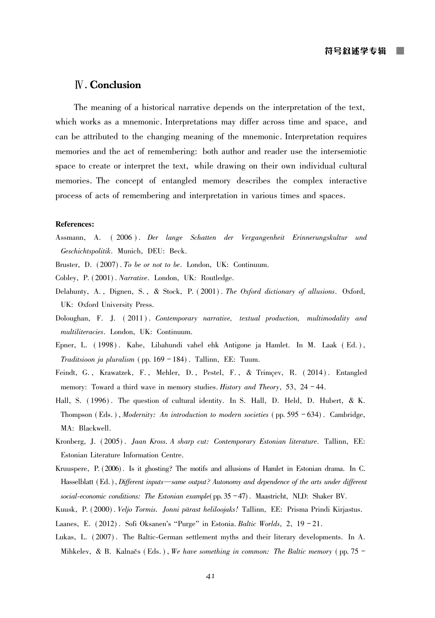### **N.** Conclusion

The meaning of a historical narrative depends on the interpretation of the text, which works as a mnemonic. Interpretations may differ across time and space, and can be attributed to the changing meaning of the mnemonic. Interpretation requires memories and the act of remembering: both author and reader use the intersemiotic space to create or interpret the text, while drawing on their own individual cultural memories. The concept of entangled memory describes the complex interactive process of acts of remembering and interpretation in various times and spaces.

#### **References:**

- (2006). Der lange Schatten der Vergangenheit Erinnerungskultur und Assmann. A. Geschichtspolitik. Munich, DEU: Beck.
- Bruster, D. (2007). To be or not to be. London, UK: Continuum.
- Cobley, P. (2001). Narrative. London, UK: Routledge.
- Delahunty, A., Dignen, S., & Stock, P. (2001). The Oxford dictionary of allusions. Oxford, UK: Oxford University Press.
- Doloughan, F. J. (2011). Contemporary narrative, textual production, multimodality and multiliteracies. London, UK: Continuum.
- Epner, L. (1998). Kahe, Libahundi vahel ehk Antigone ja Hamlet. In M. Laak (Ed.), Traditsioon ja pluralism (pp. 169 - 184). Tallinn, EE: Tuum.
- Feindt, G., Krawatzek, F., Mehler, D., Pestel, F., & Trimçev, R. (2014). Entangled memory: Toward a third wave in memory studies. History and Theory, 53, 24 – 44.
- Hall, S. (1996). The question of cultural identity. In S. Hall, D. Held, D. Hubert, & K. Thompson (Eds.), *Modernity: An introduction to modern societies* (pp. 595 - 634). Cambridge, MA: Blackwell.
- Kronberg, J. (2005). Jaan Kross. A sharp cut: Contemporary Estonian literature. Tallinn, EE: Estonian Literature Information Centre.
- Kruuspere, P. (2006). Is it ghosting? The motifs and allusions of Hamlet in Estonian drama. In C. Hasselblatt (Ed.), Different inputs—same output? Autonomy and dependence of the arts under different social-economic conditions: The Estonian example (pp.  $35 - 47$ ). Maastricht, NLD: Shaker BV.
- Kuusk, P. (2000). Veljo Tormis. Jonni pärast heliloojaks! Tallinn, EE: Prisma Prindi Kirjastus.
- Laanes, E. (2012). Sofi Oksanen's "Purge" in Estonia. Baltic Worlds, 2, 19 21.
- Lukas, L. (2007). The Baltic-German settlement myths and their literary developments. In A. Mihkelev, & B. Kalnačs (Eds.), We have something in common: The Baltic memory (pp. 75 –